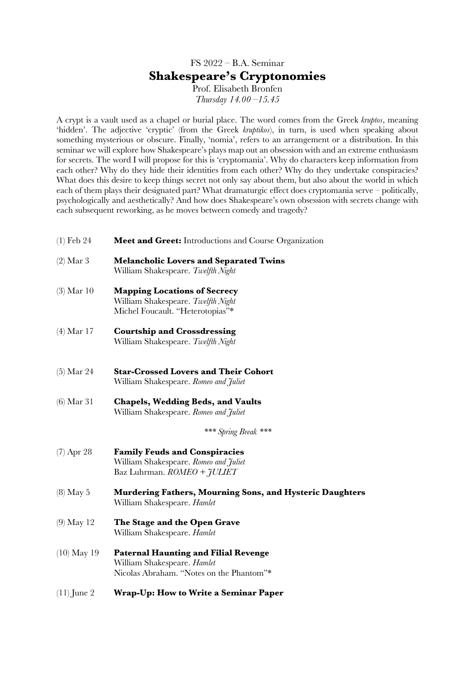# FS 2022 – B.A. Seminar **Shakespeare's Cryptonomies**

Prof. Elisabeth Bronfen *Thursday 14.00 –15.45*

A crypt is a vault used as a chapel or burial place. The word comes from the Greek *kruptos*, meaning 'hidden'. The adjective 'cryptic' (from the Greek *kruptikos*), in turn, is used when speaking about something mysterious or obscure. Finally, 'nomia', refers to an arrangement or a distribution. In this seminar we will explore how Shakespeare's plays map out an obsession with and an extreme enthusiasm for secrets. The word I will propose for this is 'cryptomania'. Why do characters keep information from each other? Why do they hide their identities from each other? Why do they undertake conspiracies? What does this desire to keep things secret not only say about them, but also about the world in which each of them plays their designated part? What dramaturgic effect does cryptomania serve – politically, psychologically and aesthetically? And how does Shakespeare's own obsession with secrets change with each subsequent reworking, as he moves between comedy and tragedy?

- (1) Feb 24 **Meet and Greet:** Introductions and Course Organization
- (2) Mar 3 **Melancholic Lovers and Separated Twins** William Shakespeare. *Twelfth Night*
- (3) Mar 10 **Mapping Locations of Secrecy** William Shakespeare. *Twelfth Night* Michel Foucault. "Heterotopias"\*
- (4) Mar 17 **Courtship and Crossdressing** William Shakespeare. *Twelfth Night*
- (5) Mar 24 **Star-Crossed Lovers and Their Cohort** William Shakespeare. *Romeo and Juliet*
- (6) Mar 31 **Chapels, Wedding Beds, and Vaults** William Shakespeare. *Romeo and Juliet*

*\*\*\* Spring Break \*\*\**

- (7) Apr 28 **Family Feuds and Conspiracies** William Shakespeare. *Romeo and Juliet* Baz Luhrman. *ROMEO + JULIET*
- (8) May 5 **Murdering Fathers, Mourning Sons, and Hysteric Daughters** William Shakespeare. *Hamlet*
- (9) May 12 **The Stage and the Open Grave** William Shakespeare. *Hamlet*
- (10) May 19 **Paternal Haunting and Filial Revenge** William Shakespeare. *Hamlet* Nicolas Abraham. "Notes on the Phantom"\*
- (11) June 2 **Wrap-Up: How to Write a Seminar Paper**